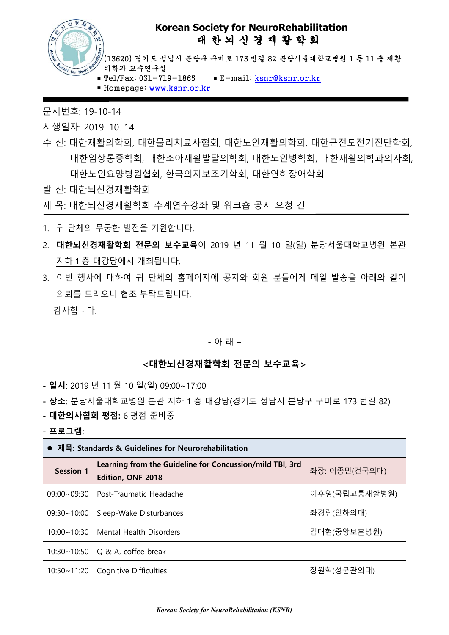

- Tel/Fax: 031-719-1865 ■ E-mail: [ksnr@ksnr.or.kr](mailto:ksnr@ksnr.or.kr)
- Homepage: [www.ksnr.or.kr](http://www.ksnr.or.kr/)

문서번호: 19-10-14

시행일자: 2019. 10. 14

수 신: 대한재활의학회, 대한물리치료사협회, 대한노인재활의학회, 대한근전도전기진단학회, 대한임상통증학회, 대한소아재활발달의학회, 대한노인병학회, 대한재활의학과의사회, 대한노인요양병원협회, 한국의지보조기학회, 대한연하장애학회

발 신: 대한뇌신경재활학회

제 목: 대한뇌신경재활학회 추계연수강좌 및 워크숍 공지 요청 건

- 1. 귀 단체의 무궁한 발전을 기원합니다.
- 2. **대한뇌신경재활학회 전문의 보수교육**이 2019 년 11 월 10 일(일) 분당서울대학교병원 본관 지하 1 층 대강당에서 개최됩니다.
- 3. 이번 행사에 대하여 귀 단체의 홈페이지에 공지와 회원 분들에게 메일 발송을 아래와 같이 의뢰를 드리오니 협조 부탁드립니다. 감사합니다.

#### - 아 래 –

#### **<대한뇌신경재활학회 전문의 보수교육>**

**- 일시**: 2019 년 11 월 10 일(일) 09:00~17:00

- **- 장소**: 분당서울대학교병원 본관 지하 1 층 대강당(경기도 성남시 분당구 구미로 173 번길 82)
- **대한의사협회 평점:** 6 평점 준비중
- **프로그램**:

| 제목: Standards & Guidelines for Neurorehabilitation |                                                                               |               |  |  |
|----------------------------------------------------|-------------------------------------------------------------------------------|---------------|--|--|
| <b>Session 1</b>                                   | Learning from the Guideline for Concussion/mild TBI, 3rd<br>Edition, ONF 2018 | 좌장: 이종민(건국의대) |  |  |
| $09:00 - 09:30$                                    | Post-Traumatic Headache                                                       | 이후영(국립교통재활병원) |  |  |
| $09:30 - 10:00$                                    | Sleep-Wake Disturbances                                                       | 좌경림(인하의대)     |  |  |
| 10:00~10:30                                        | Mental Health Disorders                                                       | 김대현(중앙보훈병원)   |  |  |
|                                                    | 10:30~10:50   Q & A, coffee break                                             |               |  |  |
| $10:50 - 11:20$                                    | Cognitive Difficulties                                                        | 장원혁(성균관의대)    |  |  |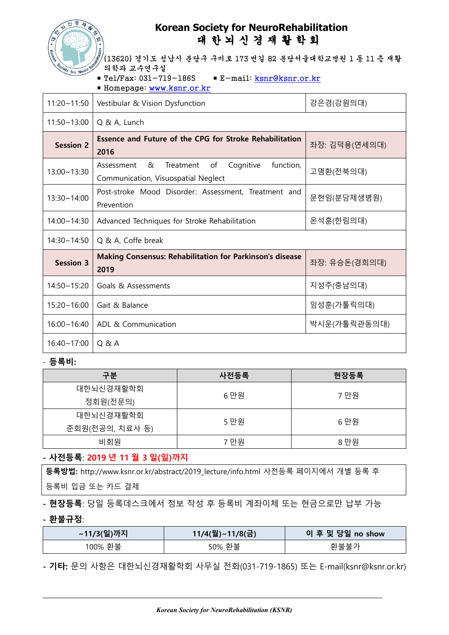

# **Korean Society for NeuroRehabilitation** 대 한 뇌 신 경 재 활 학 회

(13620) 경기도 성남시 분당구 구미로 173 번길 82 분당서울대학교병원 1 동 11 층 재활 의학과 교수연구실

■ Tel/Fax: 031-719-1865 ■ E-mail: [ksnr@ksnr.or.kr](mailto:ksnr@ksnr.or.kr)

■ Homepage: [www.ksnr.or.kr](http://www.ksnr.or.kr/)

| $11:20 - 11:50$  | Vestibular & Vision Dysfunction                                                                     | 강은경(강원의대)     |  |
|------------------|-----------------------------------------------------------------------------------------------------|---------------|--|
| $11:50 - 13:00$  | Q & A, Lunch                                                                                        |               |  |
| <b>Session 2</b> | Essence and Future of the CPG for Stroke Rehabilitation<br>2016                                     | 좌장: 김덕용(연세의대) |  |
| 13:00~13:30      | of<br>Cognitive<br>function,<br>Assessment<br>&<br>Treatment<br>Communication, Visuospatial Neglect | 고명환(전북의대)     |  |
| 13:30~14:00      | Post-stroke Mood Disorder: Assessment, Treatment and<br>Prevention                                  | 문현임(분당제생병원)   |  |
| 14:00~14:30      | Advanced Techniques for Stroke Rehabilitation                                                       | 온석훈(한림의대)     |  |
| 14:30~14:50      | Q & A, Coffe break                                                                                  |               |  |
| <b>Session 3</b> | <b>Making Consensus: Rehabilitation for Parkinson's disease</b><br>2019                             | 좌장: 유승돈(경희의대) |  |
| 14:50~15:20      | Goals & Assessments                                                                                 | 지성주(충남의대)     |  |
| $15:20 - 16:00$  | Gait & Balance                                                                                      | 임성훈(가톨릭의대)    |  |
| $16:00 - 16:40$  | ADL & Communication                                                                                 | 박시운(가톨릭관동의대)  |  |
| $16:40 - 17:00$  | Q & A                                                                                               |               |  |

## - **등록비:**

| 구분              | 사전등록 | 현장등록 |
|-----------------|------|------|
| 대한뇌신경재활학회       | 6 만원 | 7 만원 |
| 정회원(전문의)        |      |      |
| 대한뇌신경재활학회       | 5 만원 | 6 만원 |
| 준회원(전공의, 치료사 등) |      |      |
| 비회원             | 7 만원 | 8 만원 |

## **- 사전등록**: **2019 년 11 월 3 일(일)까지**

**등록방법:** http://www.ksnr.or.kr/abstract/2019\_lecture/info.html 사전등록 페이지에서 개별 등록 후 등록비 입금 또는 카드 결제

## **- 현장등록**: 당일 등록데스크에서 정보 작성 후 등록비 계좌이체 또는 현금으로만 납부 가능

**- 환불규정**:

| ~11/3(일)까지 | 11/4(월)~11/8(금) | 이 후 및 당일 no show |
|------------|-----------------|------------------|
| 100% 환불    | 50% 환불          | 환불불가             |

**- 기타:** 문의 사항은 대한뇌신경재활학회 사무실 전화(031-719-1865) 또는 E-mail(ksnr@ksnr.or.kr)